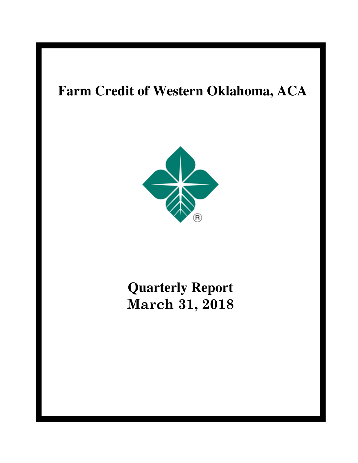# **Farm Credit of Western Oklahoma, ACA**



# **Quarterly Report March 31, 2018**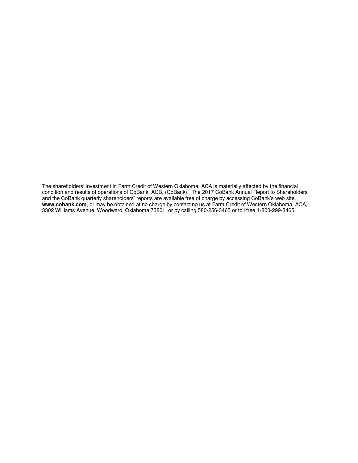The shareholders' investment in Farm Credit of Western Oklahoma, ACA is materially affected by the financial condition and results of operations of CoBank, ACB, (CoBank). The 2017 CoBank Annual Report to Shareholders and the CoBank quarterly shareholders' reports are available free of charge by accessing CoBank's web site, **www.cobank.com**, or may be obtained at no charge by contacting us at Farm Credit of Western Oklahoma, ACA, 3302 Williams Avenue, Woodward, Oklahoma 73801, or by calling 580-256-3465 or toll free 1-800-299-3465.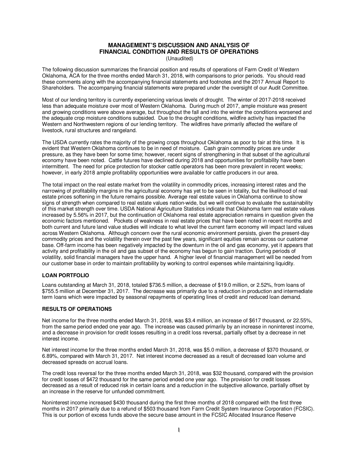# **MANAGEMENT'S DISCUSSION AND ANALYSIS OF FINANCIAL CONDITION AND RESULTS OF OPERATIONS**

(Unaudited)

The following discussion summarizes the financial position and results of operations of Farm Credit of Western Oklahoma, ACA for the three months ended March 31, 2018, with comparisons to prior periods. You should read these comments along with the accompanying financial statements and footnotes and the 2017 Annual Report to Shareholders. The accompanying financial statements were prepared under the oversight of our Audit Committee.

Most of our lending territory is currently experiencing various levels of drought. The winter of 2017-2018 received less than adequate moisture over most of Western Oklahoma. During much of 2017, ample moisture was present and growing conditions were above average, but throughout the fall and into the winter the conditions worsened and the adequate crop moisture conditions subsided. Due to the drought conditions, wildfire activity has impacted the Western and Northwestern regions of our lending territory. The wildfires have primarily affected the welfare of livestock, rural structures and rangeland.

The USDA currently rates the majority of the growing crops throughout Oklahoma as poor to fair at this time. It is evident that Western Oklahoma continues to be in need of moisture. Cash grain commodity prices are under pressure, as they have been for some time; however, recent signs of strengthening in that subset of the agricultural economy have been noted. Cattle futures have declined during 2018 and opportunities for profitability have been intermittent. The need for price protection for stocker cattle operators has been more prevalent in recent weeks; however, in early 2018 ample profitability opportunities were available for cattle producers in our area.

The total impact on the real estate market from the volatility in commodity prices, increasing interest rates and the narrowing of profitability margins in the agricultural economy has yet to be seen in totality, but the likelihood of real estate prices softening in the future remains possible. Average real estate values in Oklahoma continue to show signs of strength when compared to real estate values nation-wide, but we will continue to evaluate the sustainability of this market strength over time. USDA National Agriculture Statistics indicate that Oklahoma farm real estate values increased by 5.56% in 2017, but the continuation of Oklahoma real estate appreciation remains in question given the economic factors mentioned. Pockets of weakness in real estate prices that have been noted in recent months and both current and future land value studies will indicate to what level the current farm economy will impact land values across Western Oklahoma. Although concern over the rural economic environment persists, given the present-day commodity prices and the volatility therein over the past few years, significant equities remain across our customer base. Off-farm income has been negatively impacted by the downturn in the oil and gas economy, yet it appears that activity and profitability in the oil and gas subset of the economy has begun to gain traction. During periods of volatility, solid financial managers have the upper hand. A higher level of financial management will be needed from our customer base in order to maintain profitability by working to control expenses while maintaining liquidity.

# **LOAN PORTFOLIO**

Loans outstanding at March 31, 2018, totaled \$736.5 million, a decrease of \$19.0 million, or 2.52%, from loans of \$755.5 million at December 31, 2017. The decrease was primarily due to a reduction in production and intermediate term loans which were impacted by seasonal repayments of operating lines of credit and reduced loan demand.

# **RESULTS OF OPERATIONS**

Net income for the three months ended March 31, 2018, was \$3.4 million, an increase of \$617 thousand, or 22.55%, from the same period ended one year ago. The increase was caused primarily by an increase in noninterest income, and a decrease in provision for credit losses resulting in a credit loss reversal, partially offset by a decrease in net interest income.

Net interest income for the three months ended March 31, 2018, was \$5.0 million, a decrease of \$370 thousand, or 6.89%, compared with March 31, 2017. Net interest income decreased as a result of decreased loan volume and decreased spreads on accrual loans.

The credit loss reversal for the three months ended March 31, 2018, was \$32 thousand, compared with the provision for credit losses of \$472 thousand for the same period ended one year ago. The provision for credit losses decreased as a result of reduced risk in certain loans and a reduction in the subjective allowance, partially offset by an increase in the reserve for unfunded commitment.

Noninterest income increased \$430 thousand during the first three months of 2018 compared with the first three months in 2017 primarily due to a refund of \$503 thousand from Farm Credit System Insurance Corporation (FCSIC). This is our portion of excess funds above the secure base amount in the FCSIC Allocated Insurance Reserve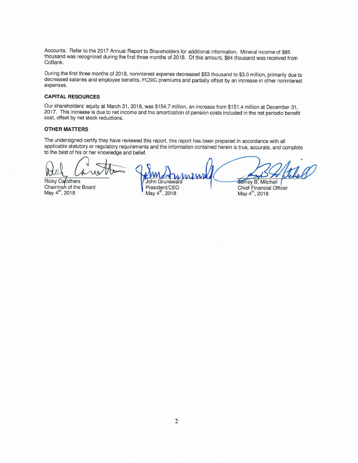Accounts. Refer to the 2017 Annual Report to Shareholders for additional information. Mineral income of \$85 thousand was recognized during the first three months of 2018. Of this amount, \$84 thousand was received from CoBank.

During the first three months of 2018, noninterest expense decreased \$53 thousand to \$3.0 million, primarily due to decreased salaries and employee benefits, FCSIC premiums and partially offset by an increase in other noninterest expenses.

# **CAPITAL RESOURCES**

Our shareholders' equity at March 31, 2018, was \$154.7 million, an increase from \$151.4 million at December 31, 2017. This increase is due to net income and the amortization of pension costs included in the net periodic benefit cost, offset by net stock reductions.

# **OTHER MATTERS**

The undersigned certify they have reviewed this report, this report has been prepared in accordance with all applicable statutory or regulatory requirements and the information contained herein is true, accurate, and complete to the best of his or her knowledge and belief.

**Ricky Carothers** Chairman of the Board May 4<sup>th</sup>, 2018

Grunewald John President/CEO

May 4<sup>th</sup>, 2018

**Jamey B. Mitchell** 

Chief Financial Officer May 4<sup>th</sup>, 2018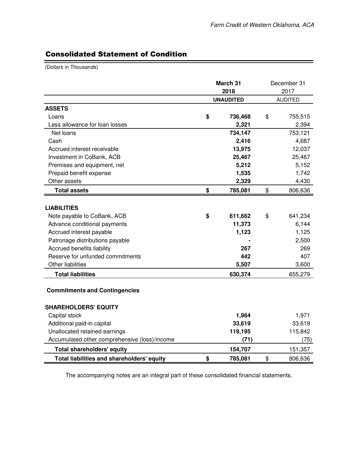Ξ

# Consolidated Statement of Condition

(Dollars in Thousands)

|                                                                     | March 31<br>2018 | December 31<br>2017 |
|---------------------------------------------------------------------|------------------|---------------------|
|                                                                     | <b>UNAUDITED</b> | <b>AUDITED</b>      |
| <b>ASSETS</b>                                                       |                  |                     |
| Loans                                                               | \$<br>736,468    | \$<br>755,515       |
| Less allowance for loan losses                                      | 2,321            | 2,394               |
| Net loans                                                           | 734,147          | 753,121             |
| Cash                                                                | 2,416            | 4,687               |
| Accrued interest receivable                                         | 13,975           | 12,037              |
| Investment in CoBank, ACB                                           | 25,467           | 25,467              |
| Premises and equipment, net                                         | 5,212            | 5,152               |
| Prepaid benefit expense                                             | 1,535            | 1,742               |
| Other assets                                                        | 2,329            | 4,430               |
| <b>Total assets</b>                                                 | \$<br>785,081    | \$<br>806,636       |
|                                                                     |                  |                     |
| <b>LIABILITIES</b>                                                  |                  |                     |
| Note payable to CoBank, ACB                                         | \$<br>611,662    | \$<br>641,234       |
| Advance conditional payments                                        | 11,373           | 6,144               |
| Accrued interest payable                                            | 1,123            | 1,125               |
| Patronage distributions payable                                     |                  | 2,500               |
| Accrued benefits liability                                          | 267              | 269                 |
| Reserve for unfunded commitments                                    | 442              | 407                 |
| <b>Other liabilities</b>                                            | 5,507            | 3,600               |
| <b>Total liabilities</b>                                            | 630,374          | 655,279             |
| <b>Commitments and Contingencies</b><br><b>SHAREHOLDERS' EQUITY</b> |                  |                     |
| Capital stock                                                       | 1,964            | 1,971               |
| Additional paid-in capital                                          | 33,619           | 33,619              |
| Unallocated retained earnings                                       | 119,195          | 115,842             |
| Accumulated other comprehensive (loss)/income                       | (71)             | (75)                |
| <b>Total shareholders' equity</b>                                   | 154,707          | 151,357             |
| Total liabilities and shareholders' equity                          | \$<br>785,081    | \$<br>806,636       |

The accompanying notes are an integral part of these consolidated financial statements.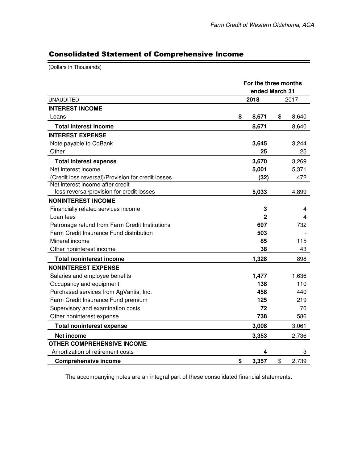9

# Consolidated Statement of Comprehensive Income

(Dollars in Thousands)

| <b>UNAUDITED</b>                                   |                                                                                                                                                                                                                                                        |    | 2017  |
|----------------------------------------------------|--------------------------------------------------------------------------------------------------------------------------------------------------------------------------------------------------------------------------------------------------------|----|-------|
| <b>INTEREST INCOME</b>                             | For the three months<br>ended March 31<br>2018<br>8,671<br>\$<br>8,671<br>3,645<br>25<br>3,670<br>5,001<br>(32)<br>5,033<br>3<br>2<br>697<br>503<br>85<br>38<br>1,328<br>1,477<br>138<br>458<br>125<br>72<br>738<br>3,008<br>3,353<br>4<br>\$<br>3,357 |    |       |
| Loans                                              |                                                                                                                                                                                                                                                        | \$ | 8,640 |
| <b>Total interest income</b>                       |                                                                                                                                                                                                                                                        |    | 8,640 |
| <b>INTEREST EXPENSE</b>                            |                                                                                                                                                                                                                                                        |    |       |
| Note payable to CoBank                             |                                                                                                                                                                                                                                                        |    | 3,244 |
| Other                                              |                                                                                                                                                                                                                                                        |    | 25    |
| <b>Total interest expense</b>                      |                                                                                                                                                                                                                                                        |    | 3,269 |
| Net interest income                                |                                                                                                                                                                                                                                                        |    | 5,371 |
| (Credit loss reversal)/Provision for credit losses |                                                                                                                                                                                                                                                        |    | 472   |
| Net interest income after credit                   |                                                                                                                                                                                                                                                        |    |       |
| loss reversal/provision for credit losses          |                                                                                                                                                                                                                                                        |    | 4,899 |
| <b>NONINTEREST INCOME</b>                          |                                                                                                                                                                                                                                                        |    |       |
| Financially related services income                |                                                                                                                                                                                                                                                        |    | 4     |
| Loan fees                                          |                                                                                                                                                                                                                                                        |    | 4     |
| Patronage refund from Farm Credit Institutions     |                                                                                                                                                                                                                                                        |    | 732   |
| Farm Credit Insurance Fund distribution            |                                                                                                                                                                                                                                                        |    |       |
| Mineral income                                     |                                                                                                                                                                                                                                                        |    | 115   |
| Other noninterest income                           |                                                                                                                                                                                                                                                        |    | 43    |
| <b>Total noninterest income</b>                    |                                                                                                                                                                                                                                                        |    | 898   |
| <b>NONINTEREST EXPENSE</b>                         |                                                                                                                                                                                                                                                        |    |       |
| Salaries and employee benefits                     |                                                                                                                                                                                                                                                        |    | 1,636 |
| Occupancy and equipment                            |                                                                                                                                                                                                                                                        |    | 110   |
| Purchased services from AgVantis, Inc.             |                                                                                                                                                                                                                                                        |    | 440   |
| Farm Credit Insurance Fund premium                 |                                                                                                                                                                                                                                                        |    | 219   |
| Supervisory and examination costs                  |                                                                                                                                                                                                                                                        |    | 70    |
| Other noninterest expense                          |                                                                                                                                                                                                                                                        |    | 586   |
| <b>Total noninterest expense</b>                   |                                                                                                                                                                                                                                                        |    | 3,061 |
| Net income                                         |                                                                                                                                                                                                                                                        |    | 2,736 |
| <b>OTHER COMPREHENSIVE INCOME</b>                  |                                                                                                                                                                                                                                                        |    |       |
| Amortization of retirement costs                   |                                                                                                                                                                                                                                                        |    | 3     |
| <b>Comprehensive income</b>                        |                                                                                                                                                                                                                                                        | \$ | 2,739 |

The accompanying notes are an integral part of these consolidated financial statements.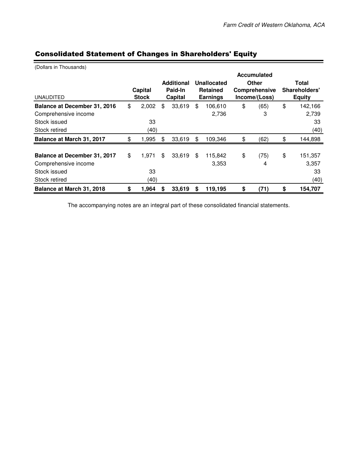| (Dollars in Thousands)       |              |    |                   |                 |               |               |         |  |
|------------------------------|--------------|----|-------------------|-----------------|---------------|---------------|---------|--|
|                              |              |    |                   |                 | Accumulated   |               |         |  |
|                              |              |    | <b>Additional</b> | Unallocated     | <b>Other</b>  | Total         |         |  |
|                              | Capital      |    | Paid-In           | <b>Retained</b> | Comprehensive | Shareholders' |         |  |
| <b>UNAUDITED</b>             | <b>Stock</b> |    | Capital           | <b>Earnings</b> | Income/(Loss) | <b>Equity</b> |         |  |
| Balance at December 31, 2016 | \$<br>2,002  | \$ | 33,619            | \$<br>106,610   | \$<br>(65)    | \$            | 142,166 |  |
| Comprehensive income         |              |    |                   | 2,736           | 3             |               | 2,739   |  |
| Stock issued                 | 33           |    |                   |                 |               |               | 33      |  |
| Stock retired                | (40)         |    |                   |                 |               |               | (40)    |  |
| Balance at March 31, 2017    | \$<br>1,995  | \$ | 33,619            | \$<br>109,346   | \$<br>(62)    | \$            | 144,898 |  |
|                              |              |    |                   |                 |               |               |         |  |
| Balance at December 31, 2017 | \$<br>1,971  | \$ | 33,619            | \$<br>115,842   | \$<br>(75)    | \$            | 151,357 |  |
| Comprehensive income         |              |    |                   | 3,353           | 4             |               | 3,357   |  |
| Stock issued                 | 33           |    |                   |                 |               |               | 33      |  |
| Stock retired                | (40)         |    |                   |                 |               |               | (40)    |  |
| Balance at March 31, 2018    | \$<br>1,964  | \$ | 33,619            | \$<br>119,195   | \$<br>(71)    | \$            | 154,707 |  |

# Consolidated Statement of Changes in Shareholders' Equity

The accompanying notes are an integral part of these consolidated financial statements.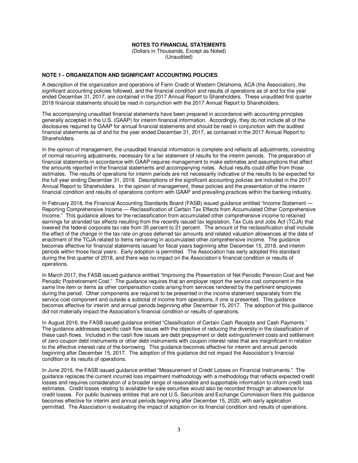#### **NOTES TO FINANCIAL STATEMENTS**

(Dollars in Thousands, Except as Noted) (Unaudited)

## **NOTE 1 - ORGANIZATION AND SIGNIFICANT ACCOUNTING POLICIES**

A description of the organization and operations of Farm Credit of Western Oklahoma, ACA (the Association), the significant accounting policies followed, and the financial condition and results of operations as of and for the year ended December 31, 2017, are contained in the 2017 Annual Report to Shareholders. These unaudited first quarter 2018 financial statements should be read in conjunction with the 2017 Annual Report to Shareholders.

The accompanying unaudited financial statements have been prepared in accordance with accounting principles generally accepted in the U.S. (GAAP) for interim financial information. Accordingly, they do not include all of the disclosures required by GAAP for annual financial statements and should be read in conjunction with the audited financial statements as of and for the year ended December 31, 2017, as contained in the 2017 Annual Report to Shareholders.

In the opinion of management, the unaudited financial information is complete and reflects all adjustments, consisting of normal recurring adjustments, necessary for a fair statement of results for the interim periods. The preparation of financial statements in accordance with GAAP requires management to make estimates and assumptions that affect the amounts reported in the financial statements and accompanying notes. Actual results could differ from those estimates. The results of operations for interim periods are not necessarily indicative of the results to be expected for the full year ending December 31, 2018. Descriptions of the significant accounting policies are included in the 2017 Annual Report to Shareholders. In the opinion of management, these policies and the presentation of the interim financial condition and results of operations conform with GAAP and prevailing practices within the banking industry.

In February 2018, the Financial Accounting Standards Board (FASB) issued guidance entitled "Income Statement -Reporting Comprehensive Income — Reclassification of Certain Tax Effects from Accumulated Other Comprehensive Income." This guidance allows for the reclassification from accumulated other comprehensive income to retained earnings for stranded tax effects resulting from the recently issued tax legislation, Tax Cuts and Jobs Act (TCJA) that lowered the federal corporate tax rate from 35 percent to 21 percent. The amount of the reclassification shall include the effect of the change in the tax rate on gross deferred tax amounts and related valuation allowances at the date of enactment of the TCJA related to items remaining in accumulated other comprehensive income. The guidance becomes effective for financial statements issued for fiscal years beginning after December 15, 2018, and interim periods within those fiscal years. Early adoption is permitted. The Association has early adopted this standard during the first quarter of 2018, and there was no impact on the Association's financial condition or results of operations.

In March 2017, the FASB issued guidance entitled "Improving the Presentation of Net Periodic Pension Cost and Net Periodic Postretirement Cost." The guidance requires that an employer report the service cost component in the same line item or items as other compensation costs arising from services rendered by the pertinent employees during the period. Other components are required to be presented in the income statement separately from the service cost component and outside a subtotal of income from operations, if one is presented. This guidance becomes effective for interim and annual periods beginning after December 15, 2017. The adoption of this guidance did not materially impact the Association's financial condition or results of operations.

In August 2016, the FASB issued guidance entitled "Classification of Certain Cash Receipts and Cash Payments." The guidance addresses specific cash flow issues with the objective of reducing the diversity in the classification of these cash flows. Included in the cash flow issues are debt prepayment or debt extinguishment costs and settlement of zero-coupon debt instruments or other debt instruments with coupon interest rates that are insignificant in relation to the effective interest rate of the borrowing. This guidance becomes effective for interim and annual periods beginning after December 15, 2017. The adoption of this guidance did not impact the Association's financial condition or its results of operations.

In June 2016, the FASB issued guidance entitled "Measurement of Credit Losses on Financial Instruments." The guidance replaces the current incurred loss impairment methodology with a methodology that reflects expected credit losses and requires consideration of a broader range of reasonable and supportable information to inform credit loss estimates. Credit losses relating to available-for-sale securities would also be recorded through an allowance for credit losses. For public business entities that are not U.S. Securities and Exchange Commission filers this guidance becomes effective for interim and annual periods beginning after December 15, 2020, with early application permitted. The Association is evaluating the impact of adoption on its financial condition and results of operations.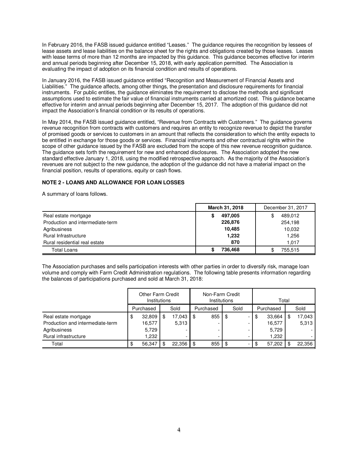In February 2016, the FASB issued guidance entitled "Leases." The guidance requires the recognition by lessees of lease assets and lease liabilities on the balance sheet for the rights and obligations created by those leases. Leases with lease terms of more than 12 months are impacted by this quidance. This quidance becomes effective for interim and annual periods beginning after December 15, 2018, with early application permitted. The Association is evaluating the impact of adoption on its financial condition and results of operations.

In January 2016, the FASB issued guidance entitled "Recognition and Measurement of Financial Assets and Liabilities." The guidance affects, among other things, the presentation and disclosure requirements for financial instruments. For public entities, the guidance eliminates the requirement to disclose the methods and significant assumptions used to estimate the fair value of financial instruments carried at amortized cost. This guidance became effective for interim and annual periods beginning after December 15, 2017. The adoption of this guidance did not impact the Association's financial condition or its results of operations.

In May 2014, the FASB issued guidance entitled, "Revenue from Contracts with Customers." The guidance governs revenue recognition from contracts with customers and requires an entity to recognize revenue to depict the transfer of promised goods or services to customers in an amount that reflects the consideration to which the entity expects to be entitled in exchange for those goods or services. Financial instruments and other contractual rights within the scope of other guidance issued by the FASB are excluded from the scope of this new revenue recognition guidance. The guidance sets forth the requirement for new and enhanced disclosures. The Association adopted the new standard effective January 1, 2018, using the modified retrospective approach. As the majority of the Association's revenues are not subject to the new guidance, the adoption of the guidance did not have a material impact on the financial position, results of operations, equity or cash flows.

# **NOTE 2 - LOANS AND ALLOWANCE FOR LOAN LOSSES**

A summary of loans follows.

|                                  | March 31, 2018 | December 31, 2017 |
|----------------------------------|----------------|-------------------|
| Real estate mortgage             | 497,005<br>S   | 489,012           |
| Production and intermediate-term | 226,876        | 254,198           |
| Agribusiness                     | 10,485         | 10,032            |
| Rural Infrastructure             | 1,232          | 1.256             |
| Rural residential real estate    | 870            | 1.017             |
| <b>Total Loans</b>               | 736.468        | 755.515           |

The Association purchases and sells participation interests with other parties in order to diversify risk, manage loan volume and comply with Farm Credit Administration regulations. The following table presents information regarding the balances of participations purchased and sold at March 31, 2018:

|                                  | <b>Other Farm Credit</b><br>Institutions |           |   |        |      | Non-Farm Credit<br>Institutions |    |      |   | Total |           |    |        |
|----------------------------------|------------------------------------------|-----------|---|--------|------|---------------------------------|----|------|---|-------|-----------|----|--------|
|                                  |                                          | Purchased |   | Sold   |      | Purchased                       |    | Sold |   |       | Purchased |    | Sold   |
| Real estate mortgage             | \$                                       | 32,809    | S | 17,043 | - \$ | 855                             | \$ |      |   | \$    | 33,664    | \$ | 17,043 |
| Production and intermediate-term |                                          | 16,577    |   | 5.313  |      |                                 |    |      |   |       | 16,577    |    | 5,313  |
| Agribusiness                     |                                          | 5,729     |   |        |      |                                 |    |      | - |       | 5.729     |    |        |
| Rural infrastructure             |                                          | ,232      |   |        |      | -                               |    |      | - |       | 1,232     |    |        |
| Total                            | \$                                       | 56.347    |   | 22,356 | - \$ | 855                             | \$ |      |   | \$    | 57,202    | £. | 22,356 |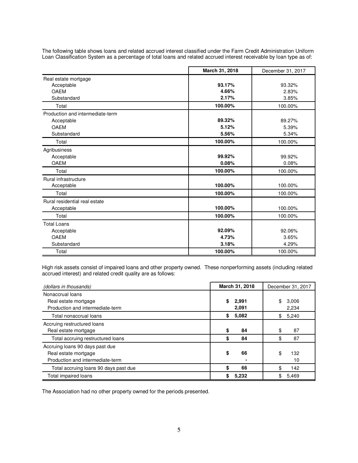|                                  | March 31, 2018 | December 31, 2017 |
|----------------------------------|----------------|-------------------|
| Real estate mortgage             |                |                   |
| Acceptable                       | 93.17%         | 93.32%            |
| <b>OAEM</b>                      | 4.66%          | 2.83%             |
| Substandard                      | 2.17%          | 3.85%             |
| Total                            | 100.00%        | 100.00%           |
| Production and intermediate-term |                |                   |
| Acceptable                       | 89.32%         | 89.27%            |
| <b>OAEM</b>                      | 5.12%          | 5.39%             |
| Substandard                      | 5.56%          | 5.34%             |
| Total                            | 100.00%        | 100.00%           |
| Agribusiness                     |                |                   |
| Acceptable                       | 99.92%         | 99.92%            |
| <b>OAEM</b>                      | 0.08%          | 0.08%             |
| Total                            | 100.00%        | 100.00%           |
| Rural infrastructure             |                |                   |
| Acceptable                       | 100.00%        | 100.00%           |
| Total                            | 100.00%        | 100.00%           |
| Rural residential real estate    |                |                   |
| Acceptable                       | 100.00%        | 100.00%           |
| Total                            | 100.00%        | 100.00%           |
| <b>Total Loans</b>               |                |                   |
| Acceptable                       | 92.09%         | 92.06%            |
| <b>OAEM</b>                      | 4.73%          | 3.65%             |
| Substandard                      | 3.18%          | 4.29%             |
| Total                            | 100.00%        | 100.00%           |

The following table shows loans and related accrued interest classified under the Farm Credit Administration Uniform Loan Classification System as a percentage of total loans and related accrued interest receivable by loan type as of:

High risk assets consist of impaired loans and other property owned. These nonperforming assets (including related accrued interest) and related credit quality are as follows:

| (dollars in thousands)                                                                      | March 31, 2018       | December 31, 2017    |
|---------------------------------------------------------------------------------------------|----------------------|----------------------|
| Nonaccrual loans<br>Real estate mortgage<br>Production and intermediate-term                | \$<br>2,991<br>2,091 | \$<br>3,006<br>2,234 |
| Total nonaccrual loans                                                                      | 5,082<br>\$          | 5,240<br>\$          |
| Accruing restructured loans<br>Real estate mortgage                                         | \$<br>84             | 87                   |
| Total accruing restructured loans                                                           | 84<br>\$             | 87                   |
| Accruing loans 90 days past due<br>Real estate mortgage<br>Production and intermediate-term | \$<br>66             | \$<br>132<br>10      |
| Total accruing loans 90 days past due                                                       | 66<br>\$             | 142                  |
| Total impaired loans                                                                        | 5,232<br>\$          | \$<br>5,469          |

The Association had no other property owned for the periods presented.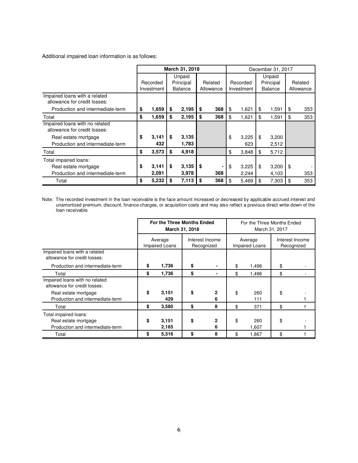Additional impaired loan information is as follows:

|                                                               |             |    | March 31, 2018 |           | December 31, 2017 |            |           |                |         |           |
|---------------------------------------------------------------|-------------|----|----------------|-----------|-------------------|------------|-----------|----------------|---------|-----------|
|                                                               |             |    | Unpaid         |           |                   |            | Unpaid    |                |         |           |
|                                                               | Recorded    |    | Principal      | Related   |                   | Recorded   | Principal |                | Related |           |
|                                                               | Investment  |    | <b>Balance</b> | Allowance |                   | Investment |           | <b>Balance</b> |         | Allowance |
| Impaired loans with a related<br>allowance for credit losses: |             |    |                |           |                   |            |           |                |         |           |
| Production and intermediate-term                              | \$<br>1,659 | \$ | 2,195          | \$<br>368 | \$                | 1,621      | \$        | 1,591          | \$      | 353       |
| Total                                                         | \$<br>1,659 | \$ | 2,195          | \$<br>368 | \$                | 1,621      | \$        | 1,591          | \$      | 353       |
| Impaired loans with no related                                |             |    |                |           |                   |            |           |                |         |           |
| allowance for credit losses:                                  |             |    |                |           |                   |            |           |                |         |           |
| Real estate mortgage                                          | \$<br>3,141 | \$ | 3,135          |           | \$                | 3,225      | \$        | 3,200          |         |           |
| Production and intermediate-term                              | 432         |    | 1,783          |           |                   | 623        |           | 2,512          |         |           |
| Total                                                         | \$<br>3,573 | \$ | 4,918          |           | \$                | 3,848      | \$        | 5,712          |         |           |
| Total impaired loans:                                         |             |    |                |           |                   |            |           |                |         |           |
| Real estate mortgage                                          | \$<br>3,141 | \$ | 3,135          | \$<br>٠   | \$                | 3,225      | \$        | 3,200          | \$      |           |
| Production and intermediate-term                              | 2,091       |    | 3,978          | 368       |                   | 2,244      |           | 4,103          |         | 353       |
| Total                                                         | \$<br>5,232 | \$ | 7,113          | \$<br>368 | \$                | 5,469      | \$        | 7,303          | \$      | 353       |

Note: The recorded investment in the loan receivable is the face amount increased or decreased by applicable accrued interest and unamortized premium, discount, finance charges, or acquisition costs and may also reflect a previous direct write-down of the loan receivable.

|                                                                                   | For the Three Months Ended       | March 31, 2018 |                               | For the Three Months Ended<br>March 31, 2017 |                                  |    |                               |  |  |
|-----------------------------------------------------------------------------------|----------------------------------|----------------|-------------------------------|----------------------------------------------|----------------------------------|----|-------------------------------|--|--|
|                                                                                   | Average<br><b>Impaired Loans</b> |                | Interest Income<br>Recognized |                                              | Average<br><b>Impaired Loans</b> |    | Interest Income<br>Recognized |  |  |
| Impaired loans with a related<br>allowance for credit losses:                     |                                  |                |                               |                                              |                                  |    |                               |  |  |
| Production and intermediate-term                                                  | \$<br>1,736                      | \$             |                               | \$                                           | 1,496                            | \$ |                               |  |  |
| Total                                                                             | \$<br>1,736                      | \$             |                               | \$                                           | 1,496                            | \$ |                               |  |  |
| Impaired loans with no related<br>allowance for credit losses:                    |                                  |                |                               |                                              |                                  |    |                               |  |  |
| Real estate mortgage<br>Production and intermediate-term                          | \$<br>3,151<br>429               | \$             | $\mathbf{2}$<br>6             | \$                                           | 260<br>111                       | \$ |                               |  |  |
| Total                                                                             | \$<br>3,580                      | \$             | 8                             | \$                                           | 371                              | \$ |                               |  |  |
| Total impaired loans:<br>Real estate mortgage<br>Production and intermediate-term | \$<br>3,151<br>2,165             | \$             | 2<br>6                        | \$                                           | 260<br>1,607                     | \$ |                               |  |  |
| Total                                                                             | \$<br>5,316                      | \$             | 8                             | \$                                           | 1.867                            | \$ |                               |  |  |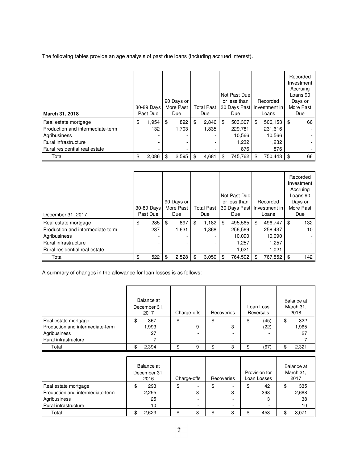The following tables provide an age analysis of past due loans (including accrued interest).

| March 31, 2018                   | 30-89 Days<br>Past Due | 90 Days or<br>More Past<br>Due | <b>Total Past</b><br>Due |     | Not Past Due<br>or less than<br>30 Days Past Investment in<br>Due | Recorded<br>Loans |     | Recorded<br>Investment<br>Accruing<br>Loans 90<br>Days or<br>More Past<br>Due |
|----------------------------------|------------------------|--------------------------------|--------------------------|-----|-------------------------------------------------------------------|-------------------|-----|-------------------------------------------------------------------------------|
| Real estate mortgage             | \$<br>1,954            | \$<br>892                      | \$<br>2,846              | \$  | 503,307                                                           | \$<br>506,153     | -\$ | 66                                                                            |
| Production and intermediate-term | 132                    | 1.703                          | 1,835                    |     | 229,781                                                           | 231,616           |     |                                                                               |
| Agribusiness                     |                        |                                |                          |     | 10,566                                                            | 10,566            |     |                                                                               |
| Rural infrastructure             |                        |                                |                          |     | 1,232                                                             | 1,232             |     |                                                                               |
| Rural residential real estate    |                        |                                |                          |     | 876                                                               | 876               |     |                                                                               |
| Total                            | \$<br>2,086            | \$<br>2,595                    | \$<br>4,681              | \$. | 745,762                                                           | \$<br>750,443     | \$  | 66                                                                            |

| December 31, 2017                | 30-89 Days<br>Past Due | 90 Days or<br>More Past<br>Due |     | <b>Total Past</b><br>Due | Not Past Due<br>or less than<br>30 Days Past Investment in<br>Due | Recorded<br>Loans | Recorded<br>Investment<br>Accruing<br>Loans 90<br>Days or<br>More Past<br>Due |
|----------------------------------|------------------------|--------------------------------|-----|--------------------------|-------------------------------------------------------------------|-------------------|-------------------------------------------------------------------------------|
| Real estate mortgage             | \$<br>285              | \$<br>897                      | \$  | 1,182                    | \$<br>495,565                                                     | \$<br>496,747     | \$<br>132                                                                     |
| Production and intermediate-term | 237                    | 1,631                          |     | 1,868                    | 256,569                                                           | 258,437           | 10                                                                            |
| Agribusiness                     |                        |                                |     |                          | 10,090                                                            | 10,090            |                                                                               |
| Rural infrastructure             |                        |                                |     |                          | 1,257                                                             | 1,257             |                                                                               |
| Rural residential real estate    |                        |                                |     |                          | 1,021                                                             | 1.021             |                                                                               |
| Total                            | \$<br>522              | \$<br>2,528                    | -\$ | 3,050                    | \$<br>764,502                                                     | \$<br>767,552     | \$<br>142                                                                     |

A summary of changes in the allowance for loan losses is as follows:

|                                  |   | Balance at<br>December 31.<br>2017 |    | Charge-offs | Recoveries | Loan Loss<br>Reversals   | Balance at<br>March 31,<br>2018 |
|----------------------------------|---|------------------------------------|----|-------------|------------|--------------------------|---------------------------------|
| Real estate mortgage             | J | 367                                | \$ |             | \$<br>۰    | \$<br>(45)               | \$<br>322                       |
| Production and intermediate-term |   | 1,993                              |    | 9           | 3          | (22)                     | 1,965                           |
| Agribusiness                     |   | 27                                 |    |             | -          |                          | 27                              |
| Rural infrastructure             |   |                                    |    | -           | ۰          | $\overline{\phantom{a}}$ |                                 |
| Total                            |   | 2,394                              | ሖ  | 9           | 3          | \$<br>(67)               | 2,321                           |

|                                                          | Balance at<br>December 31,<br>2016 | Charge-offs | Recoveries   | Provision for<br>Loan Losses | Balance at<br>March 31,<br>2017 |
|----------------------------------------------------------|------------------------------------|-------------|--------------|------------------------------|---------------------------------|
| Real estate mortgage<br>Production and intermediate-term | 293<br>2,295                       | \$<br>8     | \$<br>-<br>3 | \$<br>42<br>398              | \$<br>335<br>2,688              |
| Agribusiness<br>Rural infrastructure                     | 25<br>10                           | -           | ۰<br>-       | 13                           | 38<br>10                        |
| Total                                                    | 2.623                              | 8           | 3            | 453                          | 3,071                           |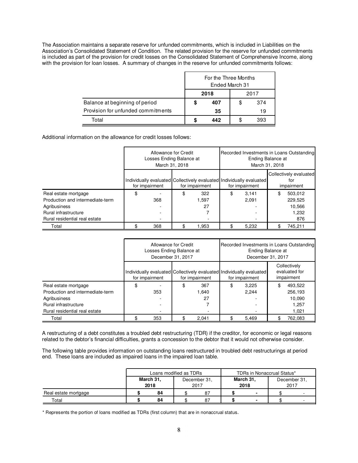The Association maintains a separate reserve for unfunded commitments, which is included in Liabilities on the Association's Consolidated Statement of Condition. The related provision for the reserve for unfunded commitments is included as part of the provision for credit losses on the Consolidated Statement of Comprehensive Income, along with the provision for loan losses. A summary of changes in the reserve for unfunded commitments follows:

|                                    | For the Three Months<br>Ended March 31<br>2018<br>2017 |     |    |     |  |
|------------------------------------|--------------------------------------------------------|-----|----|-----|--|
|                                    |                                                        |     |    |     |  |
| Balance at beginning of period     | \$                                                     | 407 | \$ | 374 |  |
| Provision for unfunded commitments | 35<br>19                                               |     |    |     |  |
| Total                              | 442<br>393                                             |     |    |     |  |

Additional information on the allowance for credit losses follows:

|                                  | Allowance for Credit<br>Losses Ending Balance at<br>March 31, 2018 |                |    |                                                                                        |                | Recorded Investments in Loans Outstanding<br>Ending Balance at<br>March 31, 2018 |                                             |  |
|----------------------------------|--------------------------------------------------------------------|----------------|----|----------------------------------------------------------------------------------------|----------------|----------------------------------------------------------------------------------|---------------------------------------------|--|
|                                  |                                                                    | for impairment |    | Individually evaluated Collectively evaluated Individually evaluated<br>for impairment | for impairment |                                                                                  | Collectively evaluated<br>tor<br>impairment |  |
| Real estate mortgage             | \$                                                                 |                | \$ | 322                                                                                    | \$<br>3.141    | \$                                                                               | 503,012                                     |  |
| Production and intermediate-term |                                                                    | 368            |    | 1,597                                                                                  | 2.091          |                                                                                  | 229,525                                     |  |
| Agribusiness                     |                                                                    |                |    | 27                                                                                     |                |                                                                                  | 10,566                                      |  |
| Rural infrastructure             |                                                                    |                |    |                                                                                        |                |                                                                                  | 1,232                                       |  |
| Rural residential real estate    |                                                                    |                |    |                                                                                        |                | 876                                                                              |                                             |  |
| Total                            |                                                                    | 368            |    | 1,953                                                                                  | 5,232          |                                                                                  | 745.211                                     |  |

|                                  | Allowance for Credit<br>Losses Ending Balance at<br>December 31, 2017 |                |                                                                                        |       |    | Recorded Investments in Loans Outstanding<br>Ending Balance at<br>December 31, 2017 |       |                                             |  |  |  |
|----------------------------------|-----------------------------------------------------------------------|----------------|----------------------------------------------------------------------------------------|-------|----|-------------------------------------------------------------------------------------|-------|---------------------------------------------|--|--|--|
|                                  |                                                                       | for impairment | Individually evaluated Collectively evaluated Individually evaluated<br>for impairment |       |    | for impairment                                                                      |       | Collectively<br>evaluated for<br>impairment |  |  |  |
| Real estate mortgage             | \$                                                                    |                | \$                                                                                     | 367   | \$ | 3.225                                                                               | \$    | 493,522                                     |  |  |  |
| Production and intermediate-term |                                                                       | 353            |                                                                                        | 1.640 |    | 2.244                                                                               |       | 256.193                                     |  |  |  |
| Agribusiness                     |                                                                       |                |                                                                                        | 27    |    |                                                                                     |       | 10.090                                      |  |  |  |
| Rural infrastructure             |                                                                       |                |                                                                                        |       |    |                                                                                     | 1.257 |                                             |  |  |  |
| Rural residential real estate    |                                                                       |                |                                                                                        |       |    |                                                                                     |       | 1.021                                       |  |  |  |
| Total                            |                                                                       | 353            |                                                                                        | 2.041 |    | 5,469                                                                               |       | 762.083                                     |  |  |  |

A restructuring of a debt constitutes a troubled debt restructuring (TDR) if the creditor, for economic or legal reasons related to the debtor's financial difficulties, grants a concession to the debtor that it would not otherwise consider.

The following table provides information on outstanding loans restructured in troubled debt restructurings at period end. These loans are included as impaired loans in the impaired loan table.

|                      | Loans modified as TDRs |    |    |                      |                          |                   | TDRs in Nonaccrual Status* |   |  |  |                      |  |
|----------------------|------------------------|----|----|----------------------|--------------------------|-------------------|----------------------------|---|--|--|----------------------|--|
|                      | March 31,<br>2018      |    |    | December 31.<br>2017 |                          | March 31,<br>2018 |                            |   |  |  | December 31.<br>2017 |  |
| Real estate mortgage |                        | 84 |    | 87                   | $\overline{\phantom{0}}$ |                   |                            |   |  |  |                      |  |
| Total                |                        | 84 | 87 |                      |                          |                   |                            | ۰ |  |  |                      |  |

\* Represents the portion of loans modified as TDRs (first column) that are in nonaccrual status.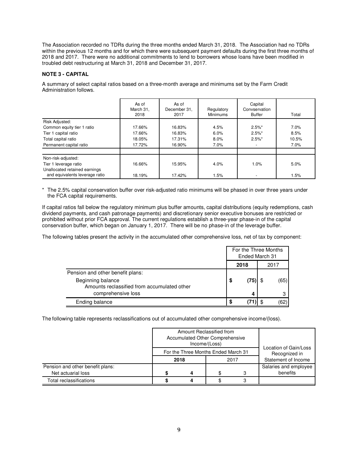The Association recorded no TDRs during the three months ended March 31, 2018. The Association had no TDRs within the previous 12 months and for which there were subsequent payment defaults during the first three months of 2018 and 2017. There were no additional commitments to lend to borrowers whose loans have been modified in troubled debt restructuring at March 31, 2018 and December 31, 2017.

# **NOTE 3 - CAPITAL**

A summary of select capital ratios based on a three-month average and minimums set by the Farm Credit Administration follows.

|                                                        | As of<br>March 31,<br>2018 | As of<br>December 31,<br>2017 | Regulatory<br><b>Minimums</b> | Capital<br>Convservation<br><b>Buffer</b> | Total   |
|--------------------------------------------------------|----------------------------|-------------------------------|-------------------------------|-------------------------------------------|---------|
| Risk Adjusted:                                         |                            |                               |                               |                                           |         |
| Common equity tier 1 ratio                             | 17.66%                     | 16.83%                        | 4.5%                          | $2.5\%$ *                                 | 7.0%    |
| Tier 1 capital ratio                                   | 17.66%                     | 16.83%                        | 6.0%                          | $2.5\%$ *                                 | 8.5%    |
| Total capital ratio                                    | 18.05%                     | 17.31%                        | 8.0%                          | $2.5\%$ *                                 | 10.5%   |
| Permanent capital ratio                                | 17.72%                     | 16.90%                        | $7.0\%$                       |                                           | $7.0\%$ |
| Non-risk-adjusted:                                     |                            |                               |                               |                                           |         |
| Tier 1 leverage ratio<br>Unallocated retained earnings | 16.66%                     | 15.95%                        | 4.0%                          | 1.0%                                      | 5.0%    |
| and equivalents leverage ratio                         | 18.19%                     | 17.42%                        | 1.5%                          |                                           | 1.5%    |

\* The 2.5% capital conservation buffer over risk-adjusted ratio minimums will be phased in over three years under the FCA capital requirements.

If capital ratios fall below the regulatory minimum plus buffer amounts, capital distributions (equity redemptions, cash dividend payments, and cash patronage payments) and discretionary senior executive bonuses are restricted or prohibited without prior FCA approval. The current regulations establish a three-year phase-in of the capital conservation buffer, which began on January 1, 2017. There will be no phase-in of the leverage buffer.

The following tables present the activity in the accumulated other comprehensive loss, net of tax by component:

|                                                                  | For the Three Months<br>Ended March 31 |     |  |        |
|------------------------------------------------------------------|----------------------------------------|-----|--|--------|
|                                                                  | 2018                                   |     |  | 2017   |
| Pension and other benefit plans:                                 |                                        |     |  |        |
| Beginning balance<br>Amounts reclassified from accumulated other | \$                                     | (75 |  | (65) l |
| comprehensive loss                                               |                                        | 4   |  |        |
| Ending balance                                                   | S                                      |     |  |        |

The following table represents reclassifications out of accumulated other comprehensive income/(loss).

|                                                        | Amount Reclassified from<br>Accumulated Other Comprehensive<br>Income/(Loss) | Location of Gain/Loss                       |  |                                      |
|--------------------------------------------------------|------------------------------------------------------------------------------|---------------------------------------------|--|--------------------------------------|
|                                                        | 2018                                                                         | For the Three Months Ended March 31<br>2017 |  | Recognized in<br>Statement of Income |
| Pension and other benefit plans:<br>Net actuarial loss | Δ                                                                            | Salaries and employee<br>benefits           |  |                                      |
| Total reclassifications                                |                                                                              |                                             |  |                                      |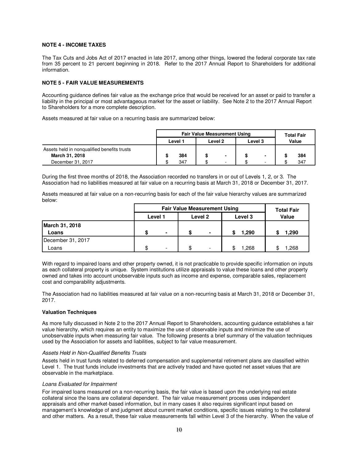# **NOTE 4 - INCOME TAXES**

The Tax Cuts and Jobs Act of 2017 enacted in late 2017, among other things, lowered the federal corporate tax rate from 35 percent to 21 percent beginning in 2018. Refer to the 2017 Annual Report to Shareholders for additional information.

# **NOTE 5 - FAIR VALUE MEASUREMENTS**

Accounting guidance defines fair value as the exchange price that would be received for an asset or paid to transfer a liability in the principal or most advantageous market for the asset or liability. See Note 2 to the 2017 Annual Report to Shareholders for a more complete description.

Assets measured at fair value on a recurring basis are summarized below:

|                                             |                               | <b>Fair Value Measurement Using</b> | <b>Total Fair</b> |                          |       |  |     |
|---------------------------------------------|-------------------------------|-------------------------------------|-------------------|--------------------------|-------|--|-----|
|                                             | Level 2<br>Level 3<br>Level 1 |                                     |                   |                          | Value |  |     |
| Assets held in nongualified benefits trusts |                               |                                     |                   |                          |       |  |     |
| March 31, 2018                              |                               | 384                                 |                   | ٠                        |       |  | 384 |
| December 31, 2017                           |                               | 347                                 |                   | $\overline{\phantom{a}}$ |       |  | 347 |

During the first three months of 2018, the Association recorded no transfers in or out of Levels 1, 2, or 3. The Association had no liabilities measured at fair value on a recurring basis at March 31, 2018 or December 31, 2017.

Assets measured at fair value on a non-recurring basis for each of the fair value hierarchy values are summarized below:

|                         |         | <b>Fair Value Measurement Using</b> | <b>Total Fair</b> |         |       |        |      |      |
|-------------------------|---------|-------------------------------------|-------------------|---------|-------|--------|------|------|
|                         | Level 1 |                                     |                   | Level 2 | Value |        |      |      |
| March 31, 2018<br>Loans |         | $\overline{\phantom{a}}$            | $\blacksquare$    |         | 1,290 | 290. ا |      |      |
| December 31, 2017       |         |                                     |                   |         |       |        |      |      |
| Loans                   | \$      |                                     | -                 |         |       |        | .268 | .268 |

With regard to impaired loans and other property owned, it is not practicable to provide specific information on inputs as each collateral property is unique. System institutions utilize appraisals to value these loans and other property owned and takes into account unobservable inputs such as income and expense, comparable sales, replacement cost and comparability adjustments.

The Association had no liabilities measured at fair value on a non-recurring basis at March 31, 2018 or December 31, 2017.

# **Valuation Techniques**

As more fully discussed in Note 2 to the 2017 Annual Report to Shareholders, accounting guidance establishes a fair value hierarchy, which requires an entity to maximize the use of observable inputs and minimize the use of unobservable inputs when measuring fair value. The following presents a brief summary of the valuation techniques used by the Association for assets and liabilities, subject to fair value measurement.

# Assets Held in Non-Qualified Benefits Trusts

Assets held in trust funds related to deferred compensation and supplemental retirement plans are classified within Level 1. The trust funds include investments that are actively traded and have quoted net asset values that are observable in the marketplace.

# Loans Evaluated for Impairment

For impaired loans measured on a non-recurring basis, the fair value is based upon the underlying real estate collateral since the loans are collateral dependent. The fair value measurement process uses independent appraisals and other market-based information, but in many cases it also requires significant input based on management's knowledge of and judgment about current market conditions, specific issues relating to the collateral and other matters. As a result, these fair value measurements fall within Level 3 of the hierarchy. When the value of